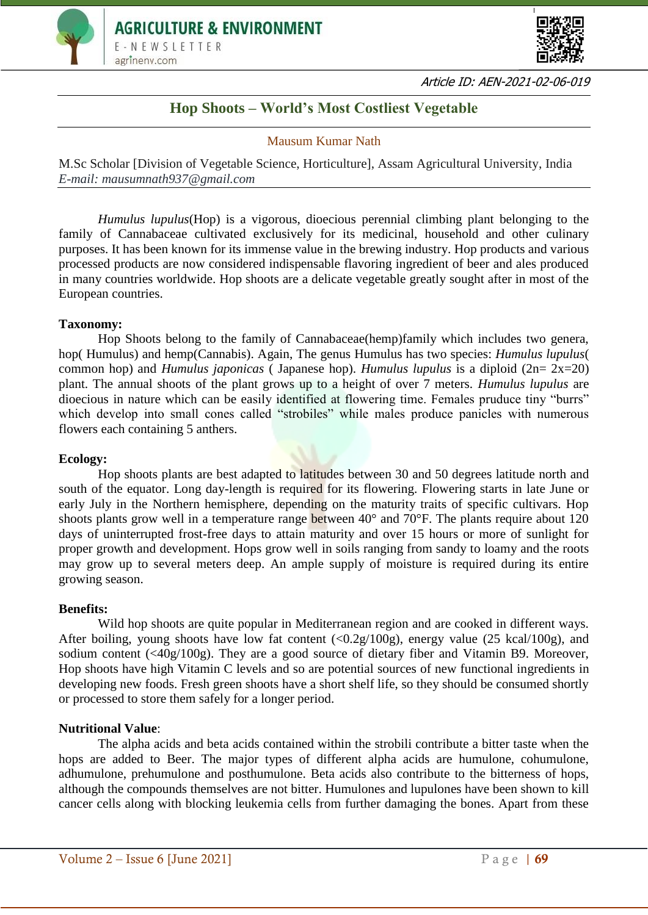



Article ID: AEN-2021-02-06-019

# **Hop Shoots – World's Most Costliest Vegetable**

## Mausum Kumar Nath

M.Sc Scholar [Division of Vegetable Science, Horticulture], Assam Agricultural University, India *E-mail: mausumnath937@gmail.com*

*Humulus lupulus*(Hop) is a vigorous, dioecious perennial climbing plant belonging to the family of Cannabaceae cultivated exclusively for its medicinal, household and other culinary purposes. It has been known for its immense value in the brewing industry. Hop products and various processed products are now considered indispensable flavoring ingredient of beer and ales produced in many countries worldwide. Hop shoots are a delicate vegetable greatly sought after in most of the European countries.

#### **Taxonomy:**

Hop Shoots belong to the family of Cannabaceae(hemp)family which includes two genera, hop( Humulus) and hemp(Cannabis). Again, The genus Humulus has two species: *Humulus lupulus*( common hop) and *Humulus japonicas* ( Japanese hop). *Humulus lupulus* is a diploid (2n= 2x=20) plant. The annual shoots of the plant grows up to a height of over 7 meters. *Humulus lupulus* are dioecious in nature which can be easily identified at flowering time. Females pruduce tiny "burrs" which develop into small cones called "strobiles" while males produce panicles with numerous flowers each containing 5 anthers.

#### **Ecology:**

Hop shoots plants are best adapted to latitudes between 30 and 50 degrees latitude north and south of the equator. Long day-length is required for its flowering. Flowering starts in late June or early July in the Northern hemisphere, depending on the maturity traits of specific cultivars. Hop shoots plants grow well in a temperature range between 40° and 70°F. The plants require about 120 days of uninterrupted frost-free days to attain maturity and over 15 hours or more of sunlight for proper growth and development. Hops grow well in soils ranging from sandy to loamy and the roots may grow up to several meters deep. An ample supply of moisture is required during its entire growing season.

#### **Benefits:**

Wild hop shoots are quite popular in Mediterranean region and are cooked in different ways. After boiling, young shoots have low fat content  $\langle 0.2g/100g \rangle$ , energy value (25 kcal/100g), and sodium content (<40g/100g). They are a good source of dietary fiber and Vitamin B9. Moreover, Hop shoots have high Vitamin C levels and so are potential sources of new functional ingredients in developing new foods. Fresh green shoots have a short shelf life, so they should be consumed shortly or processed to store them safely for a longer period.

#### **Nutritional Value**:

The alpha acids and beta acids contained within the strobili contribute a bitter taste when the hops are added to Beer. The major types of different alpha acids are humulone, cohumulone, adhumulone, prehumulone and posthumulone. Beta acids also contribute to the bitterness of hops, although the compounds themselves are not bitter. Humulones and lupulones have been shown to kill cancer cells along with blocking leukemia cells from further damaging the bones. Apart from these